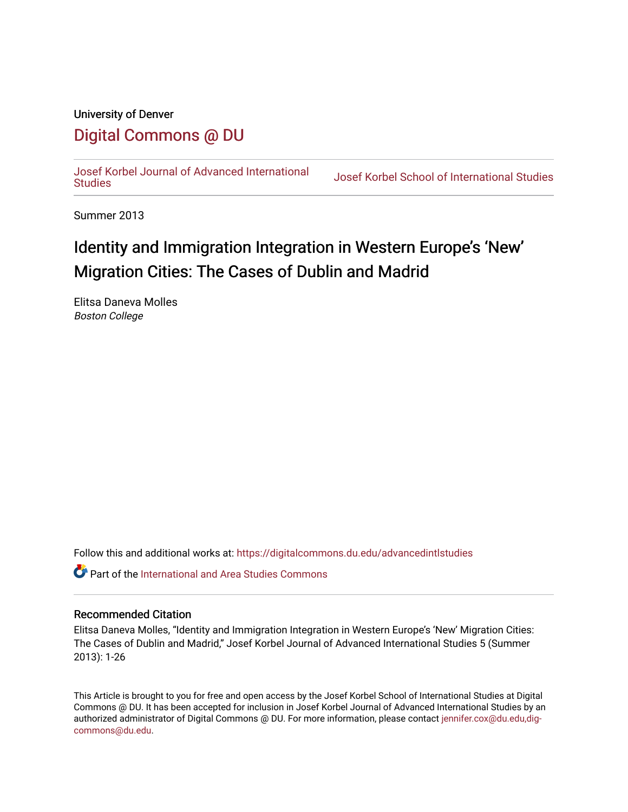## University of Denver [Digital Commons @ DU](https://digitalcommons.du.edu/)

[Josef Korbel Journal of Advanced International](https://digitalcommons.du.edu/advancedintlstudies) 

Josef Korbel School of International Studies

Summer 2013

# Identity and Immigration Integration in Western Europe's 'New' Migration Cities: The Cases of Dublin and Madrid

Elitsa Daneva Molles Boston College

Follow this and additional works at: [https://digitalcommons.du.edu/advancedintlstudies](https://digitalcommons.du.edu/advancedintlstudies?utm_source=digitalcommons.du.edu%2Fadvancedintlstudies%2F1&utm_medium=PDF&utm_campaign=PDFCoverPages)

**C** Part of the International and Area Studies Commons

#### Recommended Citation

Elitsa Daneva Molles, "Identity and Immigration Integration in Western Europe's 'New' Migration Cities: The Cases of Dublin and Madrid," Josef Korbel Journal of Advanced International Studies 5 (Summer 2013): 1-26

This Article is brought to you for free and open access by the Josef Korbel School of International Studies at Digital Commons @ DU. It has been accepted for inclusion in Josef Korbel Journal of Advanced International Studies by an authorized administrator of Digital Commons @ DU. For more information, please contact [jennifer.cox@du.edu,dig](mailto:jennifer.cox@du.edu,dig-commons@du.edu)[commons@du.edu.](mailto:jennifer.cox@du.edu,dig-commons@du.edu)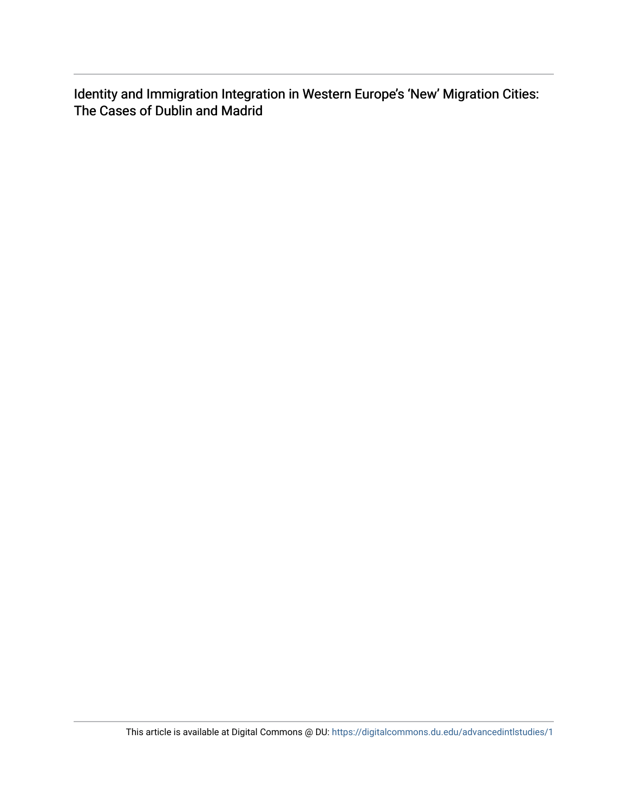Identity and Immigration Integration in Western Europe's 'New' Migration Cities: The Cases of Dublin and Madrid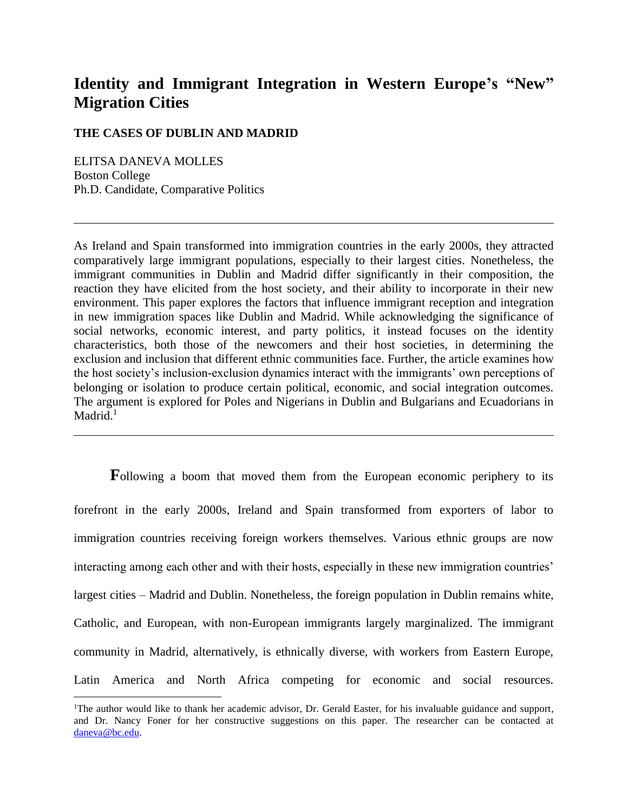## **Identity and Immigrant Integration in Western Europe's "New" Migration Cities**

### **THE CASES OF DUBLIN AND MADRID**

ELITSA DANEVA MOLLES Boston College Ph.D. Candidate, Comparative Politics

 $\overline{a}$ 

As Ireland and Spain transformed into immigration countries in the early 2000s, they attracted comparatively large immigrant populations, especially to their largest cities. Nonetheless, the immigrant communities in Dublin and Madrid differ significantly in their composition, the reaction they have elicited from the host society, and their ability to incorporate in their new environment. This paper explores the factors that influence immigrant reception and integration in new immigration spaces like Dublin and Madrid. While acknowledging the significance of social networks, economic interest, and party politics, it instead focuses on the identity characteristics, both those of the newcomers and their host societies, in determining the exclusion and inclusion that different ethnic communities face. Further, the article examines how the host society's inclusion-exclusion dynamics interact with the immigrants' own perceptions of belonging or isolation to produce certain political, economic, and social integration outcomes. The argument is explored for Poles and Nigerians in Dublin and Bulgarians and Ecuadorians in  $Madrid.<sup>1</sup>$ 

**F**ollowing a boom that moved them from the European economic periphery to its forefront in the early 2000s, Ireland and Spain transformed from exporters of labor to immigration countries receiving foreign workers themselves. Various ethnic groups are now interacting among each other and with their hosts, especially in these new immigration countries' largest cities – Madrid and Dublin. Nonetheless, the foreign population in Dublin remains white, Catholic, and European, with non-European immigrants largely marginalized. The immigrant community in Madrid, alternatively, is ethnically diverse, with workers from Eastern Europe, Latin America and North Africa competing for economic and social resources.

<sup>&</sup>lt;sup>1</sup>The author would like to thank her academic advisor, Dr. Gerald Easter, for his invaluable guidance and support, and Dr. Nancy Foner for her constructive suggestions on this paper. The researcher can be contacted at [daneva@bc.edu.](mailto:daneva@bc.edu)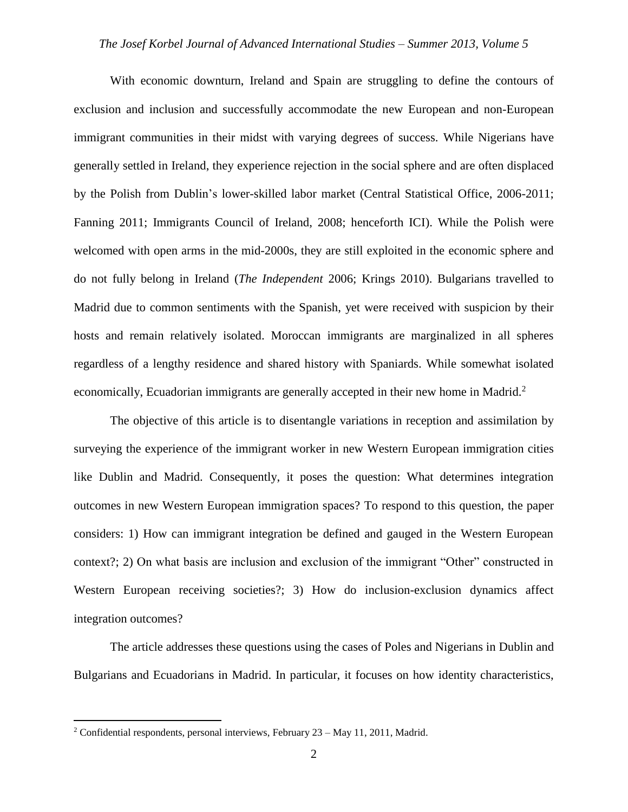With economic downturn, Ireland and Spain are struggling to define the contours of exclusion and inclusion and successfully accommodate the new European and non-European immigrant communities in their midst with varying degrees of success. While Nigerians have generally settled in Ireland, they experience rejection in the social sphere and are often displaced by the Polish from Dublin's lower-skilled labor market (Central Statistical Office, 2006-2011; Fanning 2011; Immigrants Council of Ireland, 2008; henceforth ICI). While the Polish were welcomed with open arms in the mid-2000s, they are still exploited in the economic sphere and do not fully belong in Ireland (*The Independent* 2006; Krings 2010). Bulgarians travelled to Madrid due to common sentiments with the Spanish, yet were received with suspicion by their hosts and remain relatively isolated. Moroccan immigrants are marginalized in all spheres regardless of a lengthy residence and shared history with Spaniards. While somewhat isolated economically, Ecuadorian immigrants are generally accepted in their new home in Madrid.<sup>2</sup>

The objective of this article is to disentangle variations in reception and assimilation by surveying the experience of the immigrant worker in new Western European immigration cities like Dublin and Madrid. Consequently, it poses the question: What determines integration outcomes in new Western European immigration spaces? To respond to this question, the paper considers: 1) How can immigrant integration be defined and gauged in the Western European context?; 2) On what basis are inclusion and exclusion of the immigrant "Other" constructed in Western European receiving societies?; 3) How do inclusion-exclusion dynamics affect integration outcomes?

The article addresses these questions using the cases of Poles and Nigerians in Dublin and Bulgarians and Ecuadorians in Madrid. In particular, it focuses on how identity characteristics,

<sup>&</sup>lt;sup>2</sup> Confidential respondents, personal interviews, February  $23 - May 11$ ,  $2011$ , Madrid.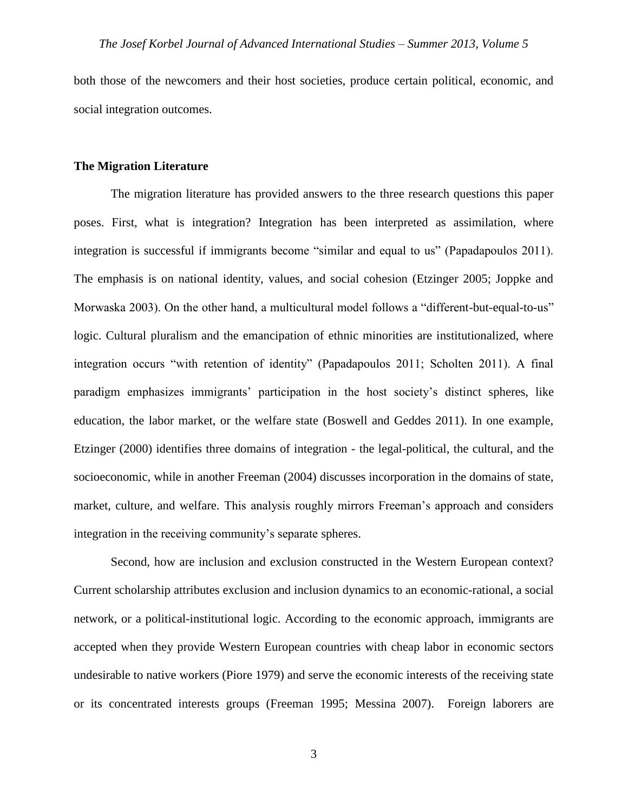both those of the newcomers and their host societies, produce certain political, economic, and social integration outcomes.

#### **The Migration Literature**

The migration literature has provided answers to the three research questions this paper poses. First, what is integration? Integration has been interpreted as assimilation, where integration is successful if immigrants become "similar and equal to us" (Papadapoulos 2011). The emphasis is on national identity, values, and social cohesion (Etzinger 2005; Joppke and Morwaska 2003). On the other hand, a multicultural model follows a "different-but-equal-to-us" logic. Cultural pluralism and the emancipation of ethnic minorities are institutionalized, where integration occurs "with retention of identity" (Papadapoulos 2011; Scholten 2011). A final paradigm emphasizes immigrants' participation in the host society's distinct spheres, like education, the labor market, or the welfare state (Boswell and Geddes 2011). In one example, Etzinger (2000) identifies three domains of integration - the legal-political, the cultural, and the socioeconomic, while in another Freeman (2004) discusses incorporation in the domains of state, market, culture, and welfare. This analysis roughly mirrors Freeman's approach and considers integration in the receiving community's separate spheres.

Second, how are inclusion and exclusion constructed in the Western European context? Current scholarship attributes exclusion and inclusion dynamics to an economic-rational, a social network, or a political-institutional logic. According to the economic approach, immigrants are accepted when they provide Western European countries with cheap labor in economic sectors undesirable to native workers (Piore 1979) and serve the economic interests of the receiving state or its concentrated interests groups (Freeman 1995; Messina 2007). Foreign laborers are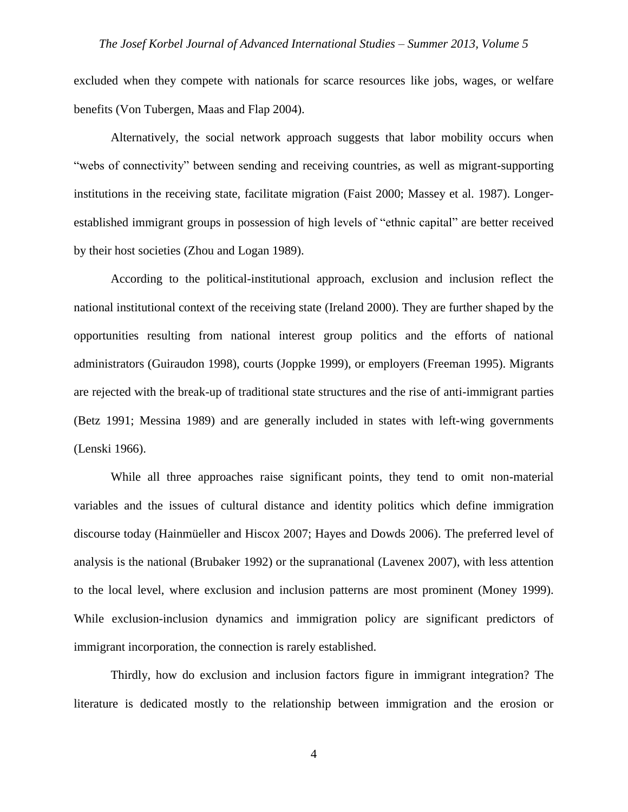excluded when they compete with nationals for scarce resources like jobs, wages, or welfare benefits (Von Tubergen, Maas and Flap 2004).

Alternatively, the social network approach suggests that labor mobility occurs when "webs of connectivity" between sending and receiving countries, as well as migrant-supporting institutions in the receiving state, facilitate migration (Faist 2000; Massey et al. 1987). Longerestablished immigrant groups in possession of high levels of "ethnic capital" are better received by their host societies (Zhou and Logan 1989).

According to the political-institutional approach, exclusion and inclusion reflect the national institutional context of the receiving state (Ireland 2000). They are further shaped by the opportunities resulting from national interest group politics and the efforts of national administrators (Guiraudon 1998), courts (Joppke 1999), or employers (Freeman 1995). Migrants are rejected with the break-up of traditional state structures and the rise of anti-immigrant parties (Betz 1991; Messina 1989) and are generally included in states with left-wing governments (Lenski 1966).

While all three approaches raise significant points, they tend to omit non-material variables and the issues of cultural distance and identity politics which define immigration discourse today (Hainmüeller and Hiscox 2007; Hayes and Dowds 2006). The preferred level of analysis is the national (Brubaker 1992) or the supranational (Lavenex 2007), with less attention to the local level, where exclusion and inclusion patterns are most prominent (Money 1999). While exclusion-inclusion dynamics and immigration policy are significant predictors of immigrant incorporation, the connection is rarely established.

Thirdly, how do exclusion and inclusion factors figure in immigrant integration? The literature is dedicated mostly to the relationship between immigration and the erosion or

4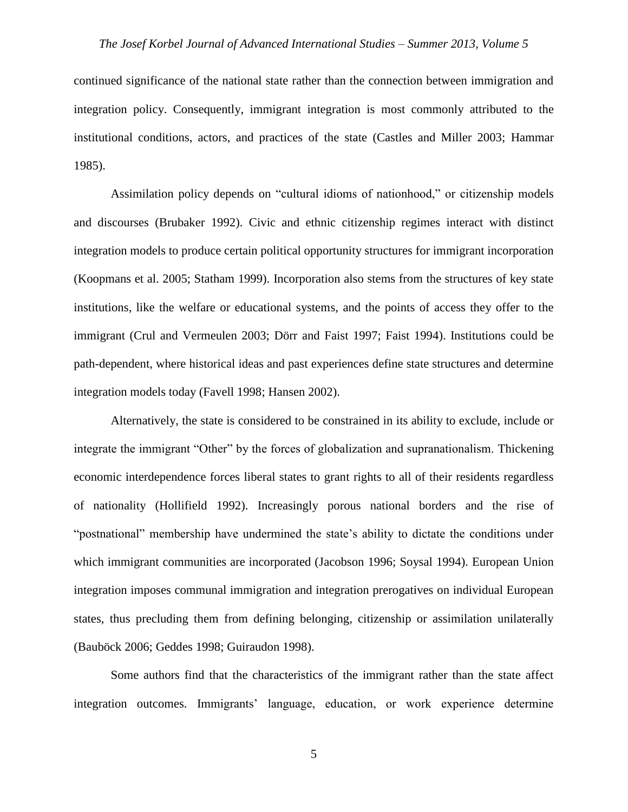continued significance of the national state rather than the connection between immigration and integration policy. Consequently, immigrant integration is most commonly attributed to the institutional conditions, actors, and practices of the state (Castles and Miller 2003; Hammar 1985).

Assimilation policy depends on "cultural idioms of nationhood," or citizenship models and discourses (Brubaker 1992). Civic and ethnic citizenship regimes interact with distinct integration models to produce certain political opportunity structures for immigrant incorporation (Koopmans et al. 2005; Statham 1999). Incorporation also stems from the structures of key state institutions, like the welfare or educational systems, and the points of access they offer to the immigrant (Crul and Vermeulen 2003; Dörr and Faist 1997; Faist 1994). Institutions could be path-dependent, where historical ideas and past experiences define state structures and determine integration models today (Favell 1998; Hansen 2002).

Alternatively, the state is considered to be constrained in its ability to exclude, include or integrate the immigrant "Other" by the forces of globalization and supranationalism. Thickening economic interdependence forces liberal states to grant rights to all of their residents regardless of nationality (Hollifield 1992). Increasingly porous national borders and the rise of "postnational" membership have undermined the state's ability to dictate the conditions under which immigrant communities are incorporated (Jacobson 1996; Soysal 1994). European Union integration imposes communal immigration and integration prerogatives on individual European states, thus precluding them from defining belonging, citizenship or assimilation unilaterally (Bauböck 2006; Geddes 1998; Guiraudon 1998).

Some authors find that the characteristics of the immigrant rather than the state affect integration outcomes. Immigrants' language, education, or work experience determine

5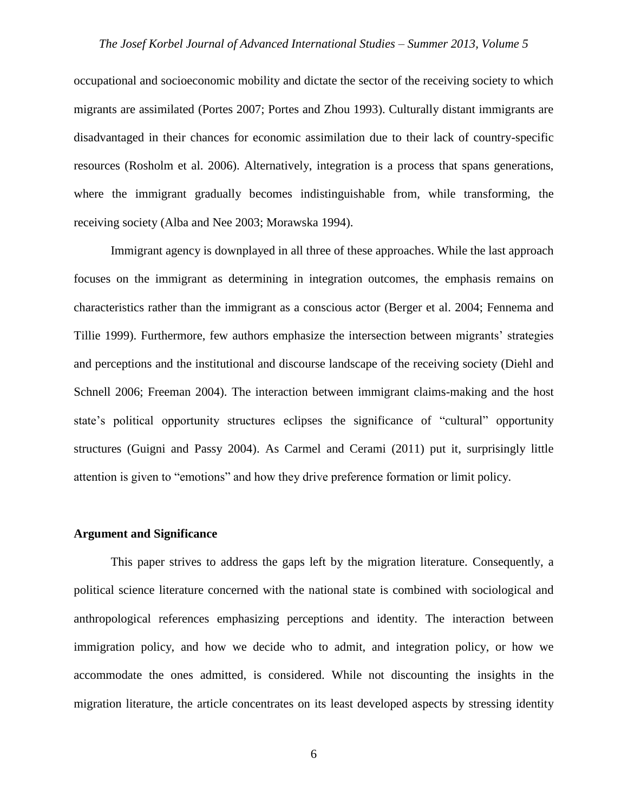occupational and socioeconomic mobility and dictate the sector of the receiving society to which migrants are assimilated (Portes 2007; Portes and Zhou 1993). Culturally distant immigrants are disadvantaged in their chances for economic assimilation due to their lack of country-specific resources (Rosholm et al. 2006). Alternatively, integration is a process that spans generations, where the immigrant gradually becomes indistinguishable from, while transforming, the receiving society (Alba and Nee 2003; Morawska 1994).

Immigrant agency is downplayed in all three of these approaches. While the last approach focuses on the immigrant as determining in integration outcomes, the emphasis remains on characteristics rather than the immigrant as a conscious actor (Berger et al. 2004; Fennema and Tillie 1999). Furthermore, few authors emphasize the intersection between migrants' strategies and perceptions and the institutional and discourse landscape of the receiving society (Diehl and Schnell 2006; Freeman 2004). The interaction between immigrant claims-making and the host state's political opportunity structures eclipses the significance of "cultural" opportunity structures (Guigni and Passy 2004). As Carmel and Cerami (2011) put it, surprisingly little attention is given to "emotions" and how they drive preference formation or limit policy.

#### **Argument and Significance**

This paper strives to address the gaps left by the migration literature. Consequently, a political science literature concerned with the national state is combined with sociological and anthropological references emphasizing perceptions and identity. The interaction between immigration policy, and how we decide who to admit, and integration policy, or how we accommodate the ones admitted, is considered. While not discounting the insights in the migration literature, the article concentrates on its least developed aspects by stressing identity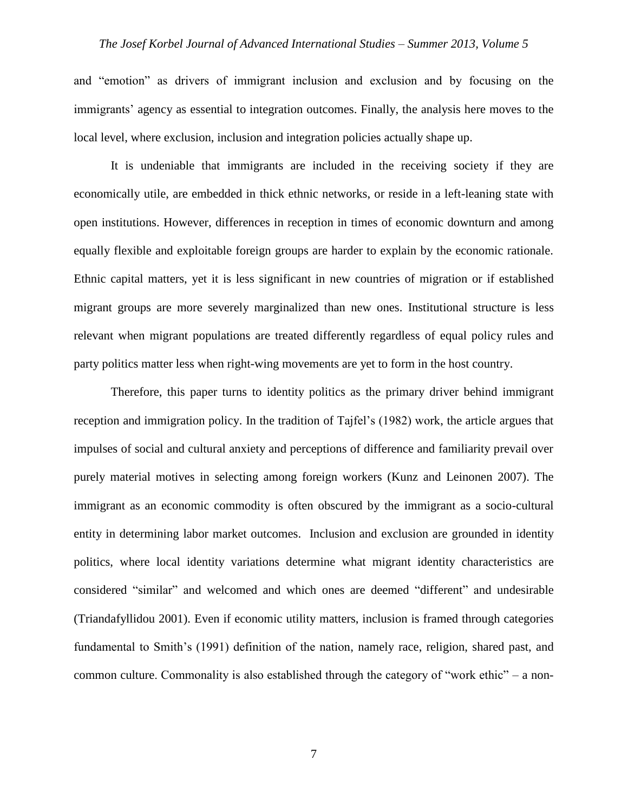and "emotion" as drivers of immigrant inclusion and exclusion and by focusing on the immigrants' agency as essential to integration outcomes. Finally, the analysis here moves to the local level, where exclusion, inclusion and integration policies actually shape up.

It is undeniable that immigrants are included in the receiving society if they are economically utile, are embedded in thick ethnic networks, or reside in a left-leaning state with open institutions. However, differences in reception in times of economic downturn and among equally flexible and exploitable foreign groups are harder to explain by the economic rationale. Ethnic capital matters, yet it is less significant in new countries of migration or if established migrant groups are more severely marginalized than new ones. Institutional structure is less relevant when migrant populations are treated differently regardless of equal policy rules and party politics matter less when right-wing movements are yet to form in the host country.

Therefore, this paper turns to identity politics as the primary driver behind immigrant reception and immigration policy. In the tradition of Tajfel's (1982) work, the article argues that impulses of social and cultural anxiety and perceptions of difference and familiarity prevail over purely material motives in selecting among foreign workers (Kunz and Leinonen 2007). The immigrant as an economic commodity is often obscured by the immigrant as a socio-cultural entity in determining labor market outcomes. Inclusion and exclusion are grounded in identity politics, where local identity variations determine what migrant identity characteristics are considered "similar" and welcomed and which ones are deemed "different" and undesirable (Triandafyllidou 2001). Even if economic utility matters, inclusion is framed through categories fundamental to Smith's (1991) definition of the nation, namely race, religion, shared past, and common culture. Commonality is also established through the category of "work ethic" – a non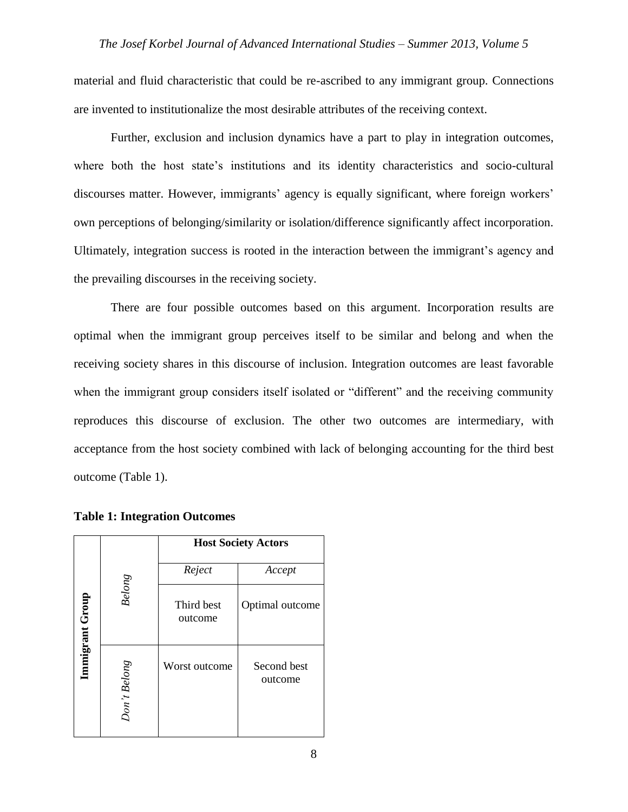material and fluid characteristic that could be re-ascribed to any immigrant group. Connections are invented to institutionalize the most desirable attributes of the receiving context.

Further, exclusion and inclusion dynamics have a part to play in integration outcomes, where both the host state's institutions and its identity characteristics and socio-cultural discourses matter. However, immigrants' agency is equally significant, where foreign workers' own perceptions of belonging/similarity or isolation/difference significantly affect incorporation. Ultimately, integration success is rooted in the interaction between the immigrant's agency and the prevailing discourses in the receiving society.

There are four possible outcomes based on this argument. Incorporation results are optimal when the immigrant group perceives itself to be similar and belong and when the receiving society shares in this discourse of inclusion. Integration outcomes are least favorable when the immigrant group considers itself isolated or "different" and the receiving community reproduces this discourse of exclusion. The other two outcomes are intermediary, with acceptance from the host society combined with lack of belonging accounting for the third best outcome (Table 1).

|                 |                     | <b>Host Society Actors</b> |                        |
|-----------------|---------------------|----------------------------|------------------------|
|                 |                     | Reject                     | Accept                 |
| Immigrant Group | <b>Belong</b>       | Third best<br>outcome      | Optimal outcome        |
|                 | <b>Don't Belong</b> | Worst outcome              | Second best<br>outcome |

**Table 1: Integration Outcomes**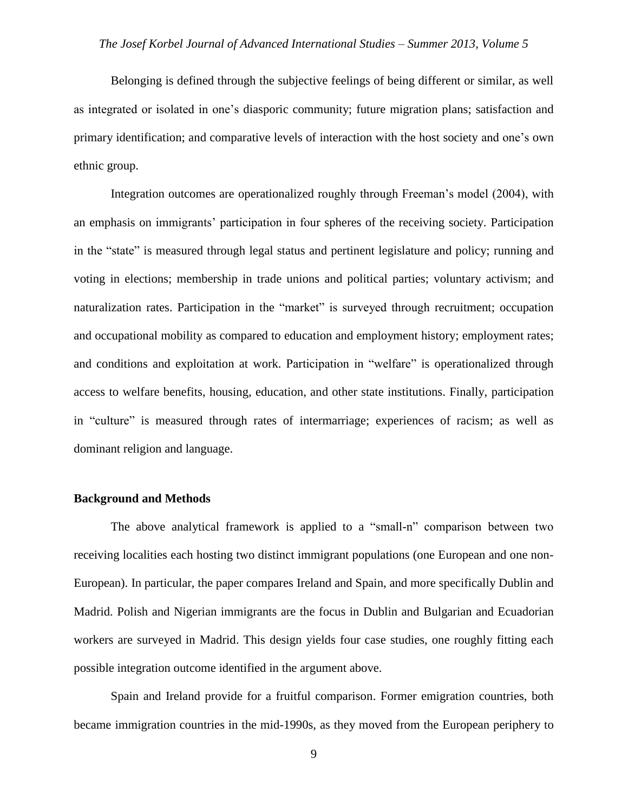Belonging is defined through the subjective feelings of being different or similar, as well as integrated or isolated in one's diasporic community; future migration plans; satisfaction and primary identification; and comparative levels of interaction with the host society and one's own ethnic group.

Integration outcomes are operationalized roughly through Freeman's model (2004), with an emphasis on immigrants' participation in four spheres of the receiving society. Participation in the "state" is measured through legal status and pertinent legislature and policy; running and voting in elections; membership in trade unions and political parties; voluntary activism; and naturalization rates. Participation in the "market" is surveyed through recruitment; occupation and occupational mobility as compared to education and employment history; employment rates; and conditions and exploitation at work. Participation in "welfare" is operationalized through access to welfare benefits, housing, education, and other state institutions. Finally, participation in "culture" is measured through rates of intermarriage; experiences of racism; as well as dominant religion and language.

#### **Background and Methods**

The above analytical framework is applied to a "small-n" comparison between two receiving localities each hosting two distinct immigrant populations (one European and one non-European). In particular, the paper compares Ireland and Spain, and more specifically Dublin and Madrid. Polish and Nigerian immigrants are the focus in Dublin and Bulgarian and Ecuadorian workers are surveyed in Madrid. This design yields four case studies, one roughly fitting each possible integration outcome identified in the argument above.

Spain and Ireland provide for a fruitful comparison. Former emigration countries, both became immigration countries in the mid-1990s, as they moved from the European periphery to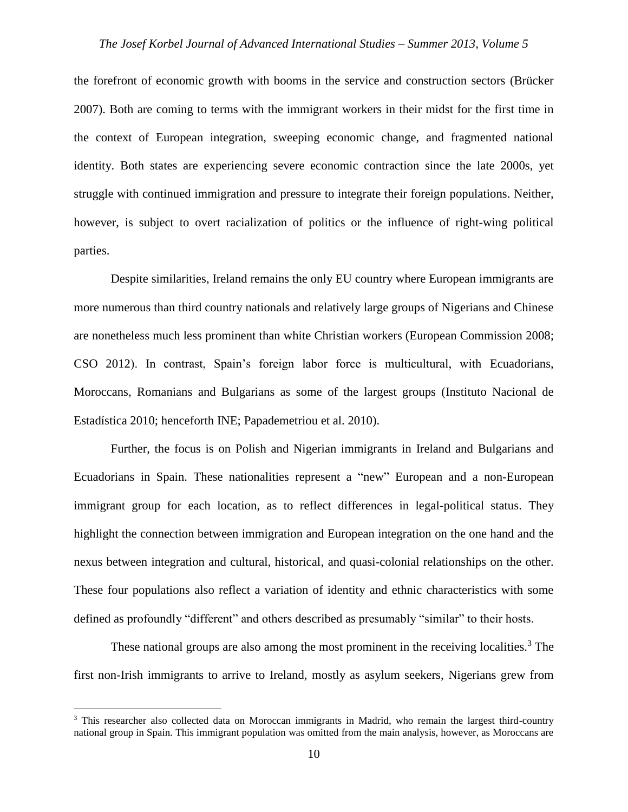the forefront of economic growth with booms in the service and construction sectors (Brücker 2007). Both are coming to terms with the immigrant workers in their midst for the first time in the context of European integration, sweeping economic change, and fragmented national identity. Both states are experiencing severe economic contraction since the late 2000s, yet struggle with continued immigration and pressure to integrate their foreign populations. Neither, however, is subject to overt racialization of politics or the influence of right-wing political parties.

Despite similarities, Ireland remains the only EU country where European immigrants are more numerous than third country nationals and relatively large groups of Nigerians and Chinese are nonetheless much less prominent than white Christian workers (European Commission 2008; CSO 2012). In contrast, Spain's foreign labor force is multicultural, with Ecuadorians, Moroccans, Romanians and Bulgarians as some of the largest groups (Instituto Nacional de Estadística 2010; henceforth INE; Papademetriou et al. 2010).

Further, the focus is on Polish and Nigerian immigrants in Ireland and Bulgarians and Ecuadorians in Spain. These nationalities represent a "new" European and a non-European immigrant group for each location, as to reflect differences in legal-political status. They highlight the connection between immigration and European integration on the one hand and the nexus between integration and cultural, historical, and quasi-colonial relationships on the other. These four populations also reflect a variation of identity and ethnic characteristics with some defined as profoundly "different" and others described as presumably "similar" to their hosts.

These national groups are also among the most prominent in the receiving localities.<sup>3</sup> The first non-Irish immigrants to arrive to Ireland, mostly as asylum seekers, Nigerians grew from

<sup>&</sup>lt;sup>3</sup> This researcher also collected data on Moroccan immigrants in Madrid, who remain the largest third-country national group in Spain. This immigrant population was omitted from the main analysis, however, as Moroccans are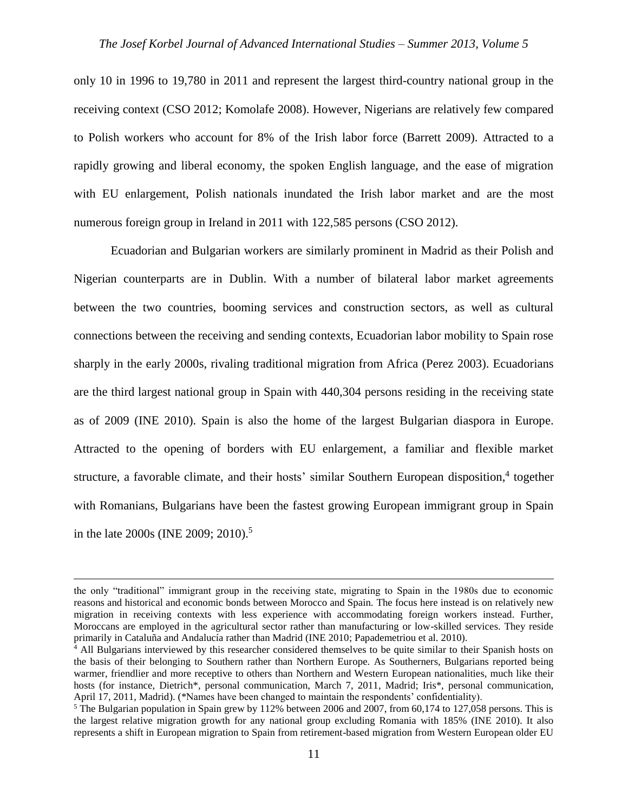only 10 in 1996 to 19,780 in 2011 and represent the largest third-country national group in the receiving context (CSO 2012; Komolafe 2008). However, Nigerians are relatively few compared to Polish workers who account for 8% of the Irish labor force (Barrett 2009). Attracted to a rapidly growing and liberal economy, the spoken English language, and the ease of migration with EU enlargement, Polish nationals inundated the Irish labor market and are the most numerous foreign group in Ireland in 2011 with 122,585 persons (CSO 2012).

Ecuadorian and Bulgarian workers are similarly prominent in Madrid as their Polish and Nigerian counterparts are in Dublin. With a number of bilateral labor market agreements between the two countries, booming services and construction sectors, as well as cultural connections between the receiving and sending contexts, Ecuadorian labor mobility to Spain rose sharply in the early 2000s, rivaling traditional migration from Africa (Perez 2003). Ecuadorians are the third largest national group in Spain with 440,304 persons residing in the receiving state as of 2009 (INE 2010). Spain is also the home of the largest Bulgarian diaspora in Europe. Attracted to the opening of borders with EU enlargement, a familiar and flexible market structure, a favorable climate, and their hosts' similar Southern European disposition,<sup>4</sup> together with Romanians, Bulgarians have been the fastest growing European immigrant group in Spain in the late 2000s (INE 2009; 2010).<sup>5</sup>

the only "traditional" immigrant group in the receiving state, migrating to Spain in the 1980s due to economic reasons and historical and economic bonds between Morocco and Spain. The focus here instead is on relatively new migration in receiving contexts with less experience with accommodating foreign workers instead. Further, Moroccans are employed in the agricultural sector rather than manufacturing or low-skilled services. They reside primarily in Cataluña and Andalucía rather than Madrid (INE 2010; Papademetriou et al. 2010).

<sup>&</sup>lt;sup>4</sup> All Bulgarians interviewed by this researcher considered themselves to be quite similar to their Spanish hosts on the basis of their belonging to Southern rather than Northern Europe. As Southerners, Bulgarians reported being warmer, friendlier and more receptive to others than Northern and Western European nationalities, much like their hosts (for instance, Dietrich<sup>\*</sup>, personal communication, March 7, 2011, Madrid; Iris<sup>\*</sup>, personal communication, April 17, 2011, Madrid). (\*Names have been changed to maintain the respondents' confidentiality).

<sup>&</sup>lt;sup>5</sup> The Bulgarian population in Spain grew by 112% between 2006 and 2007, from 60,174 to 127,058 persons. This is the largest relative migration growth for any national group excluding Romania with 185% (INE 2010). It also represents a shift in European migration to Spain from retirement-based migration from Western European older EU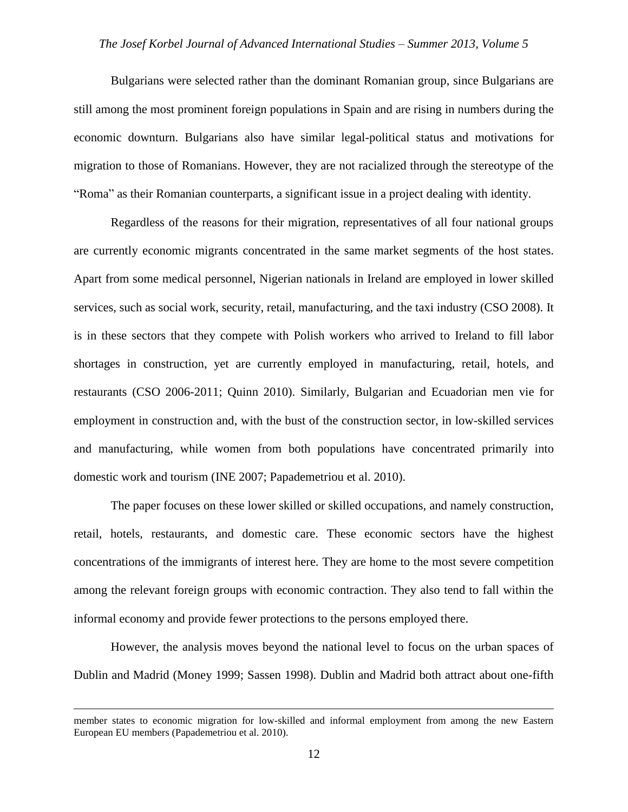Bulgarians were selected rather than the dominant Romanian group, since Bulgarians are still among the most prominent foreign populations in Spain and are rising in numbers during the economic downturn. Bulgarians also have similar legal-political status and motivations for migration to those of Romanians. However, they are not racialized through the stereotype of the "Roma" as their Romanian counterparts, a significant issue in a project dealing with identity.

Regardless of the reasons for their migration, representatives of all four national groups are currently economic migrants concentrated in the same market segments of the host states. Apart from some medical personnel, Nigerian nationals in Ireland are employed in lower skilled services, such as social work, security, retail, manufacturing, and the taxi industry (CSO 2008). It is in these sectors that they compete with Polish workers who arrived to Ireland to fill labor shortages in construction, yet are currently employed in manufacturing, retail, hotels, and restaurants (CSO 2006-2011; Quinn 2010). Similarly, Bulgarian and Ecuadorian men vie for employment in construction and, with the bust of the construction sector, in low-skilled services and manufacturing, while women from both populations have concentrated primarily into domestic work and tourism (INE 2007; Papademetriou et al. 2010).

The paper focuses on these lower skilled or skilled occupations, and namely construction, retail, hotels, restaurants, and domestic care. These economic sectors have the highest concentrations of the immigrants of interest here. They are home to the most severe competition among the relevant foreign groups with economic contraction. They also tend to fall within the informal economy and provide fewer protections to the persons employed there.

However, the analysis moves beyond the national level to focus on the urban spaces of Dublin and Madrid (Money 1999; Sassen 1998). Dublin and Madrid both attract about one-fifth

member states to economic migration for low-skilled and informal employment from among the new Eastern European EU members (Papademetriou et al. 2010).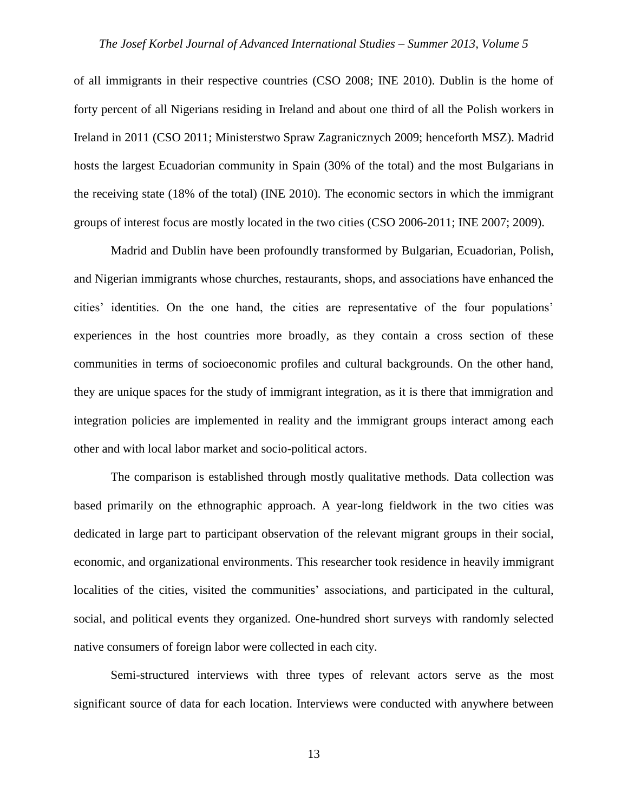of all immigrants in their respective countries (CSO 2008; INE 2010). Dublin is the home of forty percent of all Nigerians residing in Ireland and about one third of all the Polish workers in Ireland in 2011 (CSO 2011; Ministerstwo Spraw Zagranicznych 2009; henceforth MSZ). Madrid hosts the largest Ecuadorian community in Spain (30% of the total) and the most Bulgarians in the receiving state (18% of the total) (INE 2010). The economic sectors in which the immigrant groups of interest focus are mostly located in the two cities (CSO 2006-2011; INE 2007; 2009).

Madrid and Dublin have been profoundly transformed by Bulgarian, Ecuadorian, Polish, and Nigerian immigrants whose churches, restaurants, shops, and associations have enhanced the cities' identities. On the one hand, the cities are representative of the four populations' experiences in the host countries more broadly, as they contain a cross section of these communities in terms of socioeconomic profiles and cultural backgrounds. On the other hand, they are unique spaces for the study of immigrant integration, as it is there that immigration and integration policies are implemented in reality and the immigrant groups interact among each other and with local labor market and socio-political actors.

The comparison is established through mostly qualitative methods. Data collection was based primarily on the ethnographic approach. A year-long fieldwork in the two cities was dedicated in large part to participant observation of the relevant migrant groups in their social, economic, and organizational environments. This researcher took residence in heavily immigrant localities of the cities, visited the communities' associations, and participated in the cultural, social, and political events they organized. One-hundred short surveys with randomly selected native consumers of foreign labor were collected in each city.

Semi-structured interviews with three types of relevant actors serve as the most significant source of data for each location. Interviews were conducted with anywhere between

13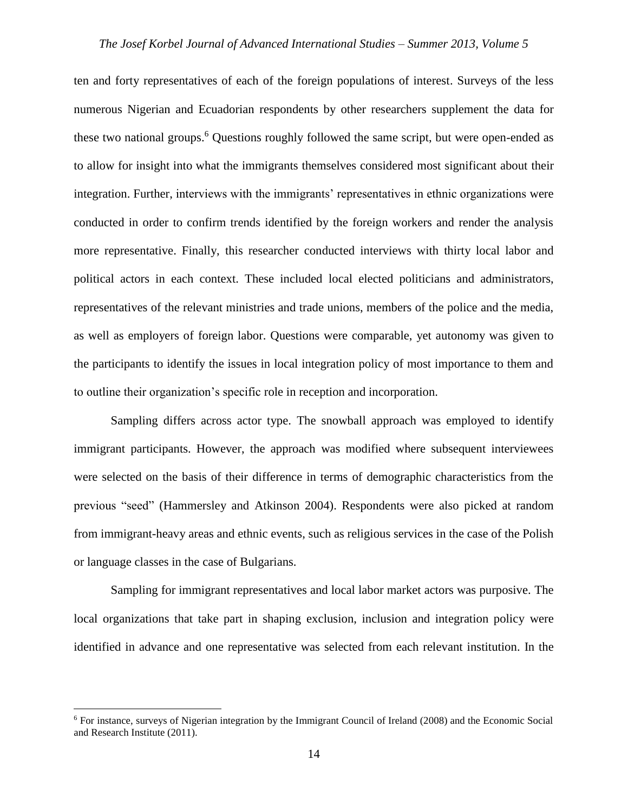ten and forty representatives of each of the foreign populations of interest. Surveys of the less numerous Nigerian and Ecuadorian respondents by other researchers supplement the data for these two national groups.<sup>6</sup> Questions roughly followed the same script, but were open-ended as to allow for insight into what the immigrants themselves considered most significant about their integration. Further, interviews with the immigrants' representatives in ethnic organizations were conducted in order to confirm trends identified by the foreign workers and render the analysis more representative. Finally, this researcher conducted interviews with thirty local labor and political actors in each context. These included local elected politicians and administrators, representatives of the relevant ministries and trade unions, members of the police and the media, as well as employers of foreign labor. Questions were comparable, yet autonomy was given to the participants to identify the issues in local integration policy of most importance to them and to outline their organization's specific role in reception and incorporation.

Sampling differs across actor type. The snowball approach was employed to identify immigrant participants. However, the approach was modified where subsequent interviewees were selected on the basis of their difference in terms of demographic characteristics from the previous "seed" (Hammersley and Atkinson 2004). Respondents were also picked at random from immigrant-heavy areas and ethnic events, such as religious services in the case of the Polish or language classes in the case of Bulgarians.

Sampling for immigrant representatives and local labor market actors was purposive. The local organizations that take part in shaping exclusion, inclusion and integration policy were identified in advance and one representative was selected from each relevant institution. In the

<sup>6</sup> For instance, surveys of Nigerian integration by the Immigrant Council of Ireland (2008) and the Economic Social and Research Institute (2011).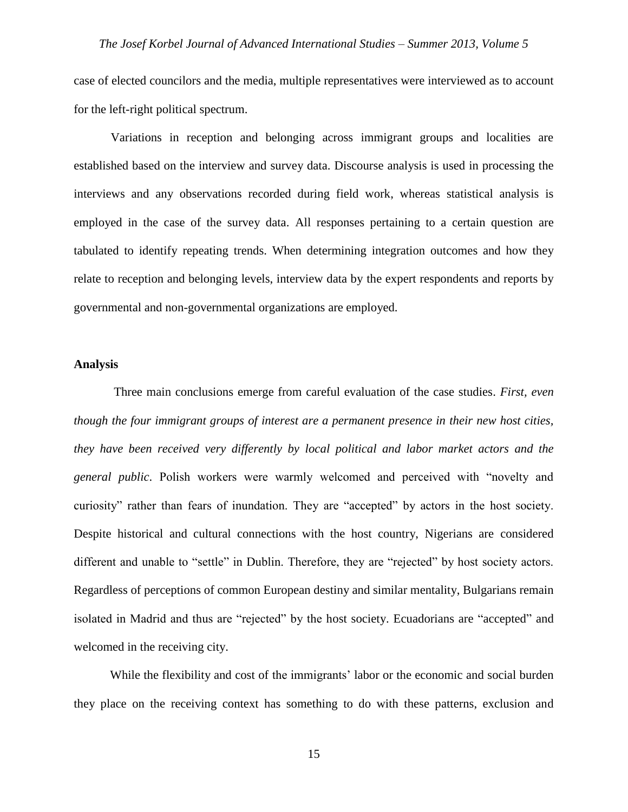case of elected councilors and the media, multiple representatives were interviewed as to account for the left-right political spectrum.

Variations in reception and belonging across immigrant groups and localities are established based on the interview and survey data. Discourse analysis is used in processing the interviews and any observations recorded during field work, whereas statistical analysis is employed in the case of the survey data. All responses pertaining to a certain question are tabulated to identify repeating trends. When determining integration outcomes and how they relate to reception and belonging levels, interview data by the expert respondents and reports by governmental and non-governmental organizations are employed.

#### **Analysis**

Three main conclusions emerge from careful evaluation of the case studies. *First, even though the four immigrant groups of interest are a permanent presence in their new host cities, they have been received very differently by local political and labor market actors and the general public*. Polish workers were warmly welcomed and perceived with "novelty and curiosity" rather than fears of inundation. They are "accepted" by actors in the host society. Despite historical and cultural connections with the host country, Nigerians are considered different and unable to "settle" in Dublin. Therefore, they are "rejected" by host society actors. Regardless of perceptions of common European destiny and similar mentality, Bulgarians remain isolated in Madrid and thus are "rejected" by the host society. Ecuadorians are "accepted" and welcomed in the receiving city.

While the flexibility and cost of the immigrants' labor or the economic and social burden they place on the receiving context has something to do with these patterns, exclusion and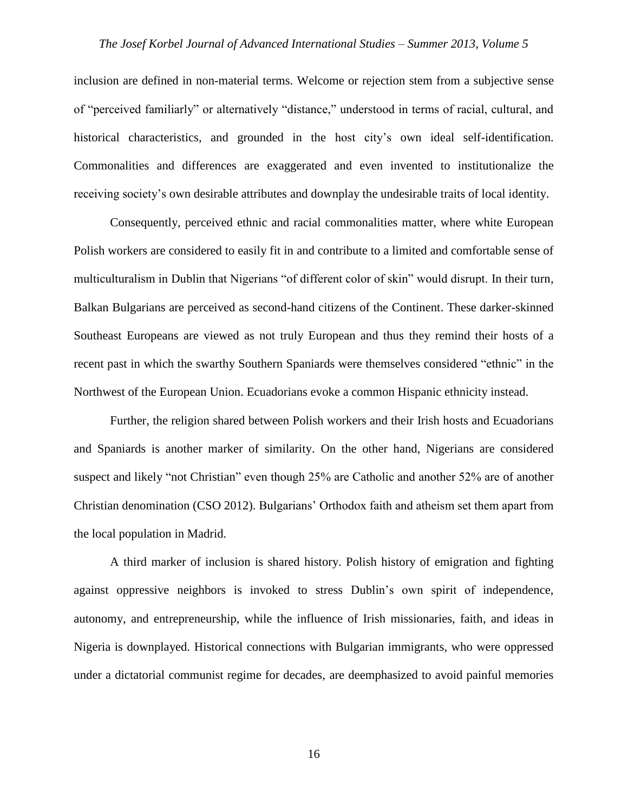inclusion are defined in non-material terms. Welcome or rejection stem from a subjective sense of "perceived familiarly" or alternatively "distance," understood in terms of racial, cultural, and historical characteristics, and grounded in the host city's own ideal self-identification. Commonalities and differences are exaggerated and even invented to institutionalize the receiving society's own desirable attributes and downplay the undesirable traits of local identity.

Consequently, perceived ethnic and racial commonalities matter, where white European Polish workers are considered to easily fit in and contribute to a limited and comfortable sense of multiculturalism in Dublin that Nigerians "of different color of skin" would disrupt. In their turn, Balkan Bulgarians are perceived as second-hand citizens of the Continent. These darker-skinned Southeast Europeans are viewed as not truly European and thus they remind their hosts of a recent past in which the swarthy Southern Spaniards were themselves considered "ethnic" in the Northwest of the European Union. Ecuadorians evoke a common Hispanic ethnicity instead.

Further, the religion shared between Polish workers and their Irish hosts and Ecuadorians and Spaniards is another marker of similarity. On the other hand, Nigerians are considered suspect and likely "not Christian" even though 25% are Catholic and another 52% are of another Christian denomination (CSO 2012). Bulgarians' Orthodox faith and atheism set them apart from the local population in Madrid.

A third marker of inclusion is shared history. Polish history of emigration and fighting against oppressive neighbors is invoked to stress Dublin's own spirit of independence, autonomy, and entrepreneurship, while the influence of Irish missionaries, faith, and ideas in Nigeria is downplayed. Historical connections with Bulgarian immigrants, who were oppressed under a dictatorial communist regime for decades, are deemphasized to avoid painful memories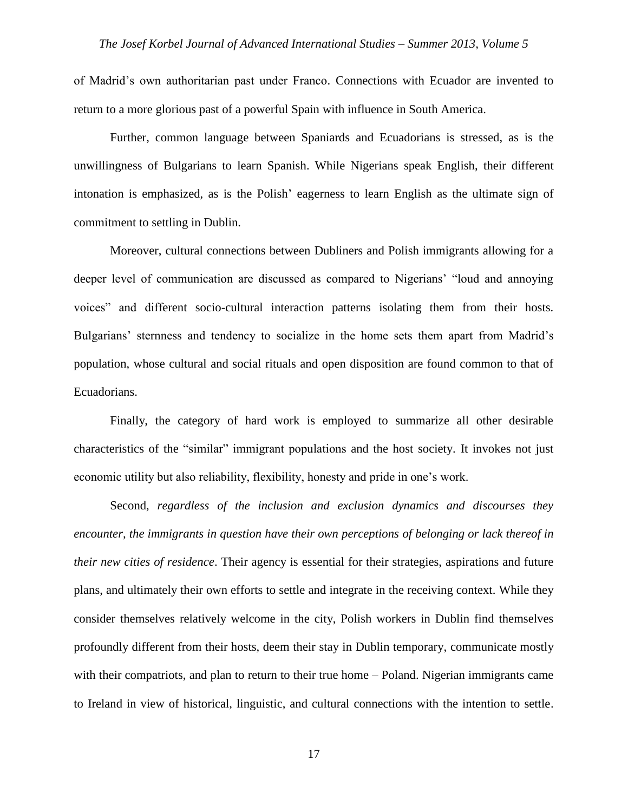of Madrid's own authoritarian past under Franco. Connections with Ecuador are invented to return to a more glorious past of a powerful Spain with influence in South America.

Further, common language between Spaniards and Ecuadorians is stressed, as is the unwillingness of Bulgarians to learn Spanish. While Nigerians speak English, their different intonation is emphasized, as is the Polish' eagerness to learn English as the ultimate sign of commitment to settling in Dublin.

Moreover, cultural connections between Dubliners and Polish immigrants allowing for a deeper level of communication are discussed as compared to Nigerians' "loud and annoying voices" and different socio-cultural interaction patterns isolating them from their hosts. Bulgarians' sternness and tendency to socialize in the home sets them apart from Madrid's population, whose cultural and social rituals and open disposition are found common to that of Ecuadorians.

Finally, the category of hard work is employed to summarize all other desirable characteristics of the "similar" immigrant populations and the host society. It invokes not just economic utility but also reliability, flexibility, honesty and pride in one's work.

Second, *regardless of the inclusion and exclusion dynamics and discourses they encounter, the immigrants in question have their own perceptions of belonging or lack thereof in their new cities of residence*. Their agency is essential for their strategies, aspirations and future plans, and ultimately their own efforts to settle and integrate in the receiving context. While they consider themselves relatively welcome in the city, Polish workers in Dublin find themselves profoundly different from their hosts, deem their stay in Dublin temporary, communicate mostly with their compatriots, and plan to return to their true home – Poland. Nigerian immigrants came to Ireland in view of historical, linguistic, and cultural connections with the intention to settle.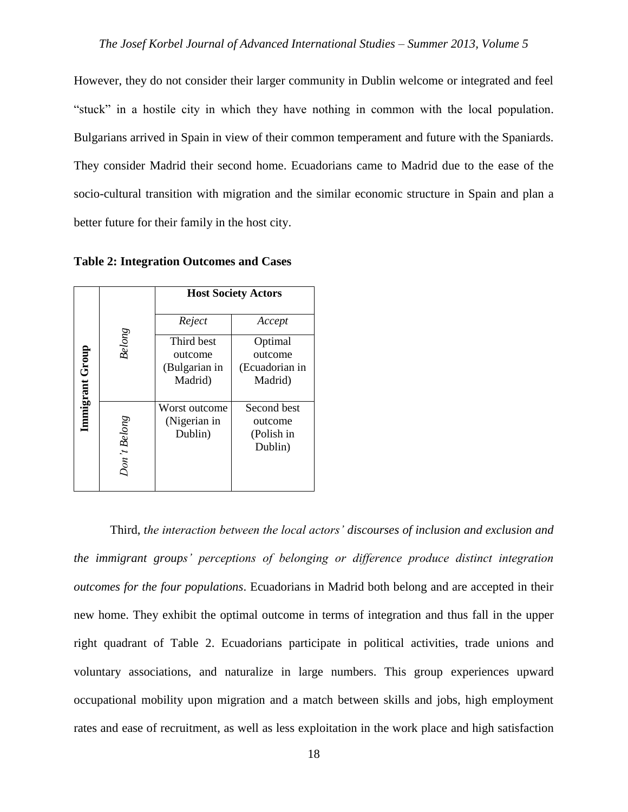However, they do not consider their larger community in Dublin welcome or integrated and feel "stuck" in a hostile city in which they have nothing in common with the local population. Bulgarians arrived in Spain in view of their common temperament and future with the Spaniards. They consider Madrid their second home. Ecuadorians came to Madrid due to the ease of the socio-cultural transition with migration and the similar economic structure in Spain and plan a better future for their family in the host city.

| Immigrant Group | <b>Belong</b> | <b>Host Society Actors</b>                        |                                                 |
|-----------------|---------------|---------------------------------------------------|-------------------------------------------------|
|                 |               | Reject                                            | Accept                                          |
|                 |               | Third best<br>outcome<br>(Bulgarian in<br>Madrid) | Optimal<br>outcome<br>(Ecuadorian in<br>Madrid) |
|                 | Don't Belong  | Worst outcome<br>(Nigerian in<br>Dublin)          | Second best<br>outcome<br>(Polish in<br>Dublin) |

**Table 2: Integration Outcomes and Cases**

Third, *the interaction between the local actors' discourses of inclusion and exclusion and the immigrant groups' perceptions of belonging or difference produce distinct integration outcomes for the four populations*. Ecuadorians in Madrid both belong and are accepted in their new home. They exhibit the optimal outcome in terms of integration and thus fall in the upper right quadrant of Table 2. Ecuadorians participate in political activities, trade unions and voluntary associations, and naturalize in large numbers. This group experiences upward occupational mobility upon migration and a match between skills and jobs, high employment Frates and ease of recruitment, as well as less exploitation in the work place and high satisfaction in Third, *the interaction between the local actors' discourses of inclusion and exclusion and the immigrant groups' perc*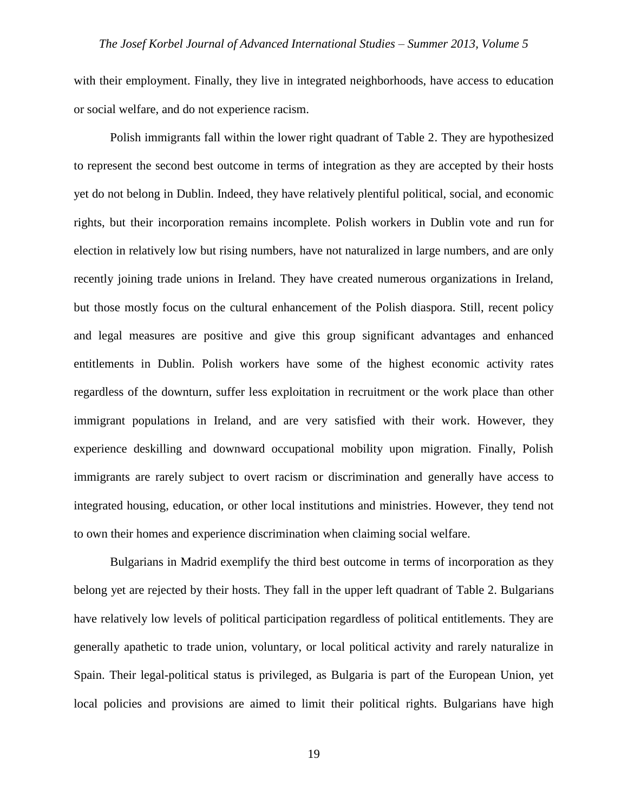with their employment. Finally, they live in integrated neighborhoods, have access to education or social welfare, and do not experience racism.

Polish immigrants fall within the lower right quadrant of Table 2. They are hypothesized to represent the second best outcome in terms of integration as they are accepted by their hosts yet do not belong in Dublin. Indeed, they have relatively plentiful political, social, and economic rights, but their incorporation remains incomplete. Polish workers in Dublin vote and run for election in relatively low but rising numbers, have not naturalized in large numbers, and are only recently joining trade unions in Ireland. They have created numerous organizations in Ireland, but those mostly focus on the cultural enhancement of the Polish diaspora. Still, recent policy and legal measures are positive and give this group significant advantages and enhanced entitlements in Dublin. Polish workers have some of the highest economic activity rates regardless of the downturn, suffer less exploitation in recruitment or the work place than other immigrant populations in Ireland, and are very satisfied with their work. However, they experience deskilling and downward occupational mobility upon migration. Finally, Polish immigrants are rarely subject to overt racism or discrimination and generally have access to integrated housing, education, or other local institutions and ministries. However, they tend not to own their homes and experience discrimination when claiming social welfare.

Bulgarians in Madrid exemplify the third best outcome in terms of incorporation as they belong yet are rejected by their hosts. They fall in the upper left quadrant of Table 2. Bulgarians have relatively low levels of political participation regardless of political entitlements. They are generally apathetic to trade union, voluntary, or local political activity and rarely naturalize in Spain. Their legal-political status is privileged, as Bulgaria is part of the European Union, yet local policies and provisions are aimed to limit their political rights. Bulgarians have high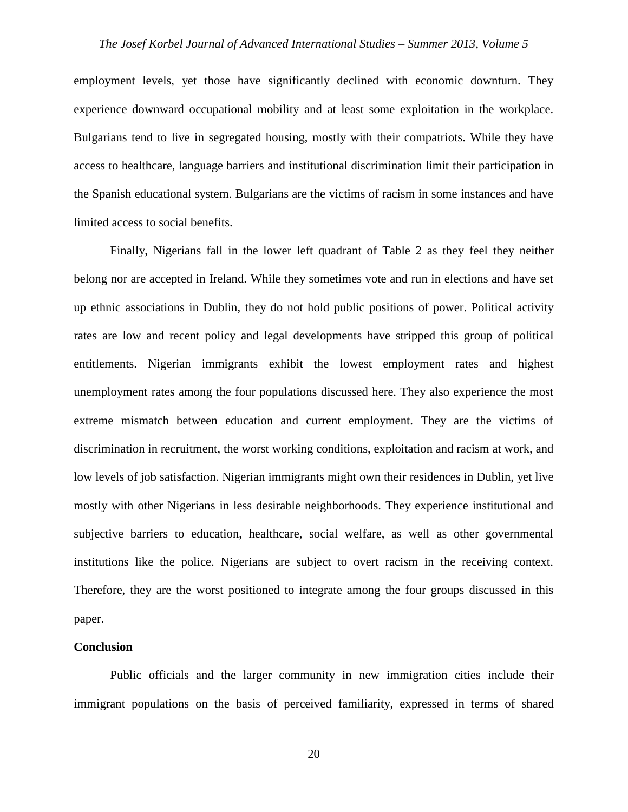employment levels, yet those have significantly declined with economic downturn. They experience downward occupational mobility and at least some exploitation in the workplace. Bulgarians tend to live in segregated housing, mostly with their compatriots. While they have access to healthcare, language barriers and institutional discrimination limit their participation in the Spanish educational system. Bulgarians are the victims of racism in some instances and have limited access to social benefits.

Finally, Nigerians fall in the lower left quadrant of Table 2 as they feel they neither belong nor are accepted in Ireland. While they sometimes vote and run in elections and have set up ethnic associations in Dublin, they do not hold public positions of power. Political activity rates are low and recent policy and legal developments have stripped this group of political entitlements. Nigerian immigrants exhibit the lowest employment rates and highest unemployment rates among the four populations discussed here. They also experience the most extreme mismatch between education and current employment. They are the victims of discrimination in recruitment, the worst working conditions, exploitation and racism at work, and low levels of job satisfaction. Nigerian immigrants might own their residences in Dublin, yet live mostly with other Nigerians in less desirable neighborhoods. They experience institutional and subjective barriers to education, healthcare, social welfare, as well as other governmental institutions like the police. Nigerians are subject to overt racism in the receiving context. Therefore, they are the worst positioned to integrate among the four groups discussed in this paper.

#### **Conclusion**

Public officials and the larger community in new immigration cities include their immigrant populations on the basis of perceived familiarity, expressed in terms of shared

20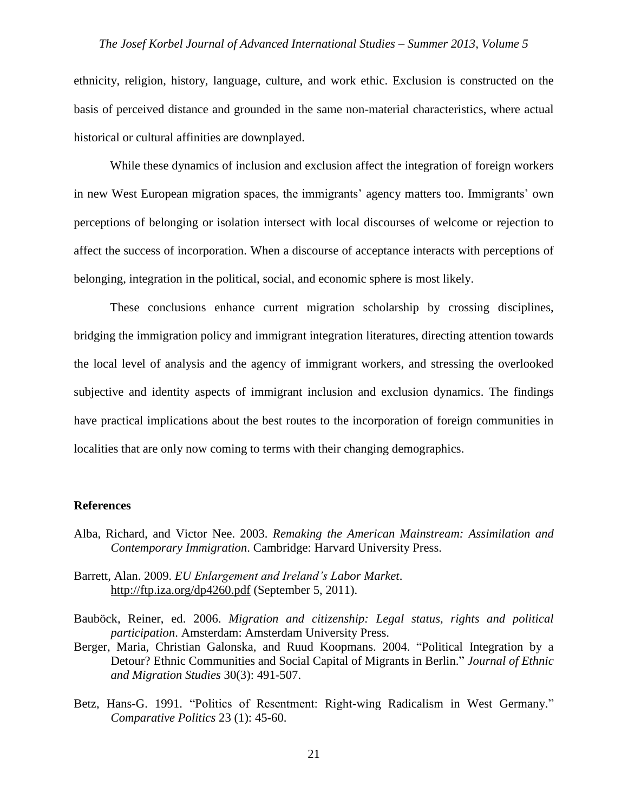ethnicity, religion, history, language, culture, and work ethic. Exclusion is constructed on the basis of perceived distance and grounded in the same non-material characteristics, where actual historical or cultural affinities are downplayed.

While these dynamics of inclusion and exclusion affect the integration of foreign workers in new West European migration spaces, the immigrants' agency matters too. Immigrants' own perceptions of belonging or isolation intersect with local discourses of welcome or rejection to affect the success of incorporation. When a discourse of acceptance interacts with perceptions of belonging, integration in the political, social, and economic sphere is most likely.

These conclusions enhance current migration scholarship by crossing disciplines, bridging the immigration policy and immigrant integration literatures, directing attention towards the local level of analysis and the agency of immigrant workers, and stressing the overlooked subjective and identity aspects of immigrant inclusion and exclusion dynamics. The findings have practical implications about the best routes to the incorporation of foreign communities in localities that are only now coming to terms with their changing demographics.

#### **References**

- Alba, Richard, and Victor Nee. 2003. *Remaking the American Mainstream: Assimilation and Contemporary Immigration*. Cambridge: Harvard University Press.
- Barrett, Alan. 2009. *EU Enlargement and Ireland's Labor Market*. <http://ftp.iza.org/dp4260.pdf> (September 5, 2011).
- Bauböck, Reiner, ed. 2006. *Migration and citizenship: Legal status, rights and political participation*. Amsterdam: Amsterdam University Press.
- Berger, Maria, Christian Galonska, and Ruud Koopmans. 2004. "Political Integration by a Detour? Ethnic Communities and Social Capital of Migrants in Berlin." *Journal of Ethnic and Migration Studies* 30(3): 491-507.
- Betz, Hans-G. 1991. "Politics of Resentment: Right-wing Radicalism in West Germany." *Comparative Politics* 23 (1): 45-60.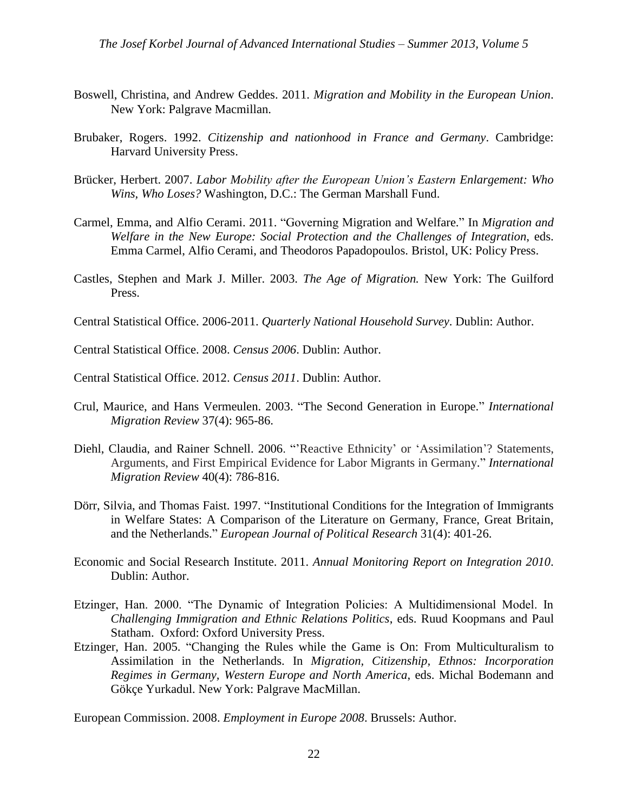- Boswell, Christina, and Andrew Geddes. 2011. *Migration and Mobility in the European Union*. New York: Palgrave Macmillan.
- Brubaker, Rogers. 1992. *Citizenship and nationhood in France and Germany*. Cambridge: Harvard University Press.
- Brücker, Herbert. 2007. *Labor Mobility after the European Union's Eastern Enlargement: Who Wins, Who Loses?* Washington, D.C.: The German Marshall Fund.
- Carmel, Emma, and Alfio Cerami. 2011. "Governing Migration and Welfare." In *Migration and Welfare in the New Europe: Social Protection and the Challenges of Integration*, eds. Emma Carmel, Alfio Cerami, and Theodoros Papadopoulos. Bristol, UK: Policy Press.
- Castles, Stephen and Mark J. Miller. 2003. *The Age of Migration.* New York: The Guilford Press.
- Central Statistical Office. 2006-2011. *Quarterly National Household Survey*. Dublin: Author.
- Central Statistical Office. 2008. *Census 2006*. Dublin: Author.
- Central Statistical Office. 2012. *Census 2011*. Dublin: Author.
- Crul, Maurice, and Hans Vermeulen. 2003. "The Second Generation in Europe." *International Migration Review* 37(4): 965-86.
- Diehl, Claudia, and Rainer Schnell. 2006. "'Reactive Ethnicity' or 'Assimilation'? Statements, Arguments, and First Empirical Evidence for Labor Migrants in Germany." *International Migration Review* 40(4): 786-816.
- Dörr, Silvia, and Thomas Faist. 1997. "Institutional Conditions for the Integration of Immigrants in Welfare States: A Comparison of the Literature on Germany, France, Great Britain, and the Netherlands." *European Journal of Political Research* 31(4): 401-26.
- Economic and Social Research Institute. 2011. *Annual Monitoring Report on Integration 2010*. Dublin: Author.
- Etzinger, Han. 2000. "The Dynamic of Integration Policies: A Multidimensional Model. In *Challenging Immigration and Ethnic Relations Politics*, eds. Ruud Koopmans and Paul Statham. Oxford: Oxford University Press.
- Etzinger, Han. 2005. "Changing the Rules while the Game is On: From Multiculturalism to Assimilation in the Netherlands. In *Migration, Citizenship, Ethnos: Incorporation Regimes in Germany, Western Europe and North America*, eds. Michal Bodemann and Gökçe Yurkadul. New York: Palgrave MacMillan.

European Commission. 2008. *Employment in Europe 2008*. Brussels: Author.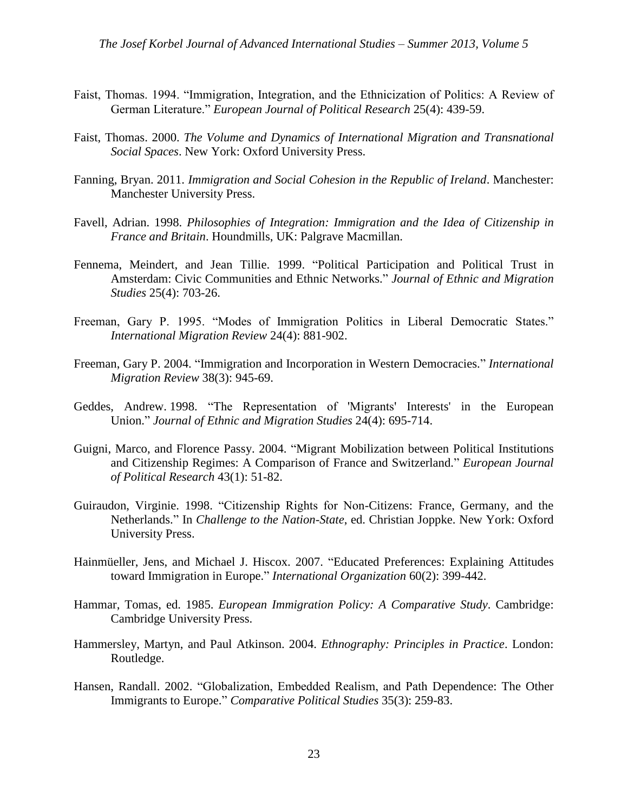- Faist, Thomas. 1994. "Immigration, Integration, and the Ethnicization of Politics: A Review of German Literature." *European Journal of Political Research* 25(4): 439-59.
- Faist, Thomas. 2000. *The Volume and Dynamics of International Migration and Transnational Social Spaces*. New York: Oxford University Press.
- Fanning, Bryan. 2011. *Immigration and Social Cohesion in the Republic of Ireland*. Manchester: Manchester University Press.
- Favell, Adrian. 1998. *Philosophies of Integration: Immigration and the Idea of Citizenship in France and Britain*. Houndmills, UK: Palgrave Macmillan.
- Fennema, Meindert, and Jean Tillie. 1999. "Political Participation and Political Trust in Amsterdam: Civic Communities and Ethnic Networks." *Journal of Ethnic and Migration Studies* 25(4): 703-26.
- Freeman, Gary P. 1995. "Modes of Immigration Politics in Liberal Democratic States." *International Migration Review* 24(4): 881-902.
- Freeman, Gary P. 2004. "Immigration and Incorporation in Western Democracies." *International Migration Review* 38(3): 945-69.
- Geddes, Andrew. 1998. "The Representation of 'Migrants' Interests' in the European Union." *Journal of Ethnic and Migration Studies* 24(4): 695-714.
- Guigni, Marco, and Florence Passy. 2004. "Migrant Mobilization between Political Institutions and Citizenship Regimes: A Comparison of France and Switzerland." *European Journal of Political Research* 43(1): 51-82.
- Guiraudon, Virginie. 1998. "Citizenship Rights for Non-Citizens: France, Germany, and the Netherlands." In *Challenge to the Nation-State*, ed. Christian Joppke. New York: Oxford University Press.
- Hainmüeller, Jens, and Michael J. Hiscox. 2007. "Educated Preferences: Explaining Attitudes toward Immigration in Europe." *International Organization* 60(2): 399-442.
- Hammar, Tomas, ed. 1985. *European Immigration Policy: A Comparative Study*. Cambridge: Cambridge University Press.
- Hammersley, Martyn, and Paul Atkinson. 2004. *Ethnography: Principles in Practice*. London: Routledge.
- Hansen, Randall. 2002. "Globalization, Embedded Realism, and Path Dependence: The Other Immigrants to Europe." *Comparative Political Studies* 35(3): 259-83.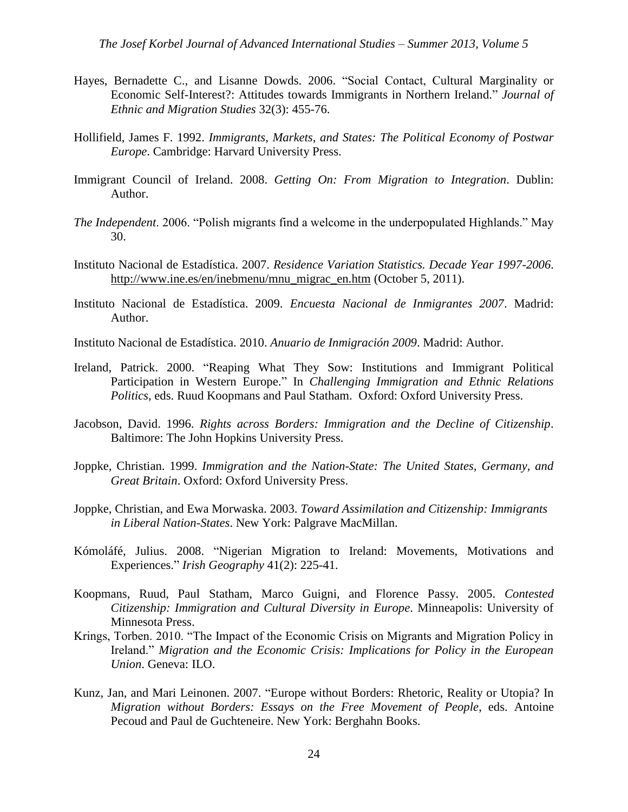- Hayes, Bernadette C., and Lisanne Dowds. 2006. "Social Contact, Cultural Marginality or Economic Self-Interest?: Attitudes towards Immigrants in Northern Ireland." *Journal of Ethnic and Migration Studies* 32(3): 455-76.
- Hollifield, James F. 1992. *Immigrants, Markets, and States: The Political Economy of Postwar Europe*. Cambridge: Harvard University Press.
- Immigrant Council of Ireland. 2008. *Getting On: From Migration to Integration*. Dublin: Author.
- *The Independent*. 2006. "Polish migrants find a welcome in the underpopulated Highlands." May 30.
- Instituto Nacional de Estadística. 2007. *Residence Variation Statistics. Decade Year 1997-2006*. [http://www.ine.es/en/inebmenu/mnu\\_migrac\\_en.htm](http://www.ine.es/en/inebmenu/mnu_migrac_en.htm) (October 5, 2011).
- Instituto Nacional de Estadística. 2009. *Encuesta Nacional de Inmigrantes 2007*. Madrid: Author.
- Instituto Nacional de Estadística. 2010. *Anuario de Inmigración 2009*. Madrid: Author.
- Ireland, Patrick. 2000. "Reaping What They Sow: Institutions and Immigrant Political Participation in Western Europe." In *Challenging Immigration and Ethnic Relations Politics*, eds. Ruud Koopmans and Paul Statham. Oxford: Oxford University Press.
- Jacobson, David. 1996. *Rights across Borders: Immigration and the Decline of Citizenship*. Baltimore: The John Hopkins University Press.
- Joppke, Christian. 1999. *Immigration and the Nation-State: The United States, Germany, and Great Britain*. Oxford: Oxford University Press.
- Joppke, Christian, and Ewa Morwaska. 2003. *Toward Assimilation and Citizenship: Immigrants in Liberal Nation-States*. New York: Palgrave MacMillan.
- Kómoláfé, Julius. 2008. "Nigerian Migration to Ireland: Movements, Motivations and Experiences." *Irish Geography* 41(2): 225-41.
- Koopmans, Ruud, Paul Statham, Marco Guigni, and Florence Passy. 2005. *Contested Citizenship: Immigration and Cultural Diversity in Europe*. Minneapolis: University of Minnesota Press.
- Krings, Torben. 2010. "The Impact of the Economic Crisis on Migrants and Migration Policy in Ireland." *Migration and the Economic Crisis: Implications for Policy in the European Union*. Geneva: ILO.
- Kunz, Jan, and Mari Leinonen. 2007. "Europe without Borders: Rhetoric, Reality or Utopia? In *Migration without Borders: Essays on the Free Movement of People*, eds. Antoine Pecoud and Paul de Guchteneire. New York: Berghahn Books.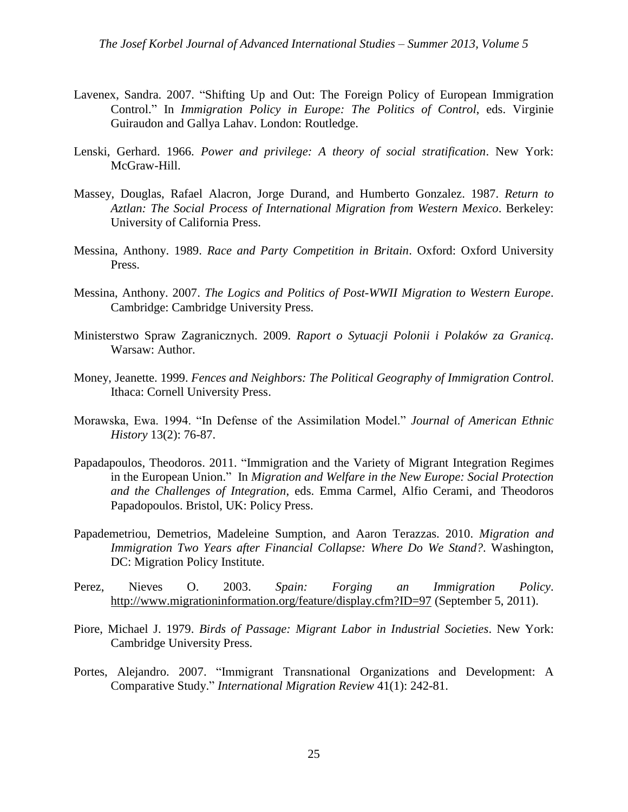- Lavenex, Sandra. 2007. "Shifting Up and Out: The Foreign Policy of European Immigration Control." In *Immigration Policy in Europe: The Politics of Control*, eds. Virginie Guiraudon and Gallya Lahav. London: Routledge.
- Lenski, Gerhard. 1966. *Power and privilege: A theory of social stratification*. New York: McGraw-Hill.
- Massey, Douglas, Rafael Alacron, Jorge Durand, and Humberto Gonzalez. 1987. *Return to Aztlan: The Social Process of International Migration from Western Mexico*. Berkeley: University of California Press.
- Messina, Anthony. 1989. *Race and Party Competition in Britain*. Oxford: Oxford University Press.
- Messina, Anthony. 2007. *The Logics and Politics of Post-WWII Migration to Western Europe*. Cambridge: Cambridge University Press.
- Ministerstwo Spraw Zagranicznych. 2009. *Raport o Sytuacji Polonii i Polaków za Granicą*. Warsaw: Author.
- Money, Jeanette. 1999. *Fences and Neighbors: The Political Geography of Immigration Control*. Ithaca: Cornell University Press.
- Morawska, Ewa. 1994. "In Defense of the Assimilation Model." *Journal of American Ethnic History* 13(2): 76-87.
- Papadapoulos, Theodoros. 2011. "Immigration and the Variety of Migrant Integration Regimes in the European Union." In *Migration and Welfare in the New Europe: Social Protection and the Challenges of Integration*, eds. Emma Carmel, Alfio Cerami, and Theodoros Papadopoulos. Bristol, UK: Policy Press.
- Papademetriou, Demetrios, Madeleine Sumption, and Aaron Terazzas. 2010. *Migration and Immigration Two Years after Financial Collapse: Where Do We Stand?*. Washington, DC: Migration Policy Institute.
- Perez, Nieves O. 2003. *Spain: Forging an Immigration Policy*. <http://www.migrationinformation.org/feature/display.cfm?ID=97> (September 5, 2011).
- Piore, Michael J. 1979. *Birds of Passage: Migrant Labor in Industrial Societies*. New York: Cambridge University Press.
- Portes, Alejandro. 2007. "Immigrant Transnational Organizations and Development: A Comparative Study." *International Migration Review* 41(1): 242-81.